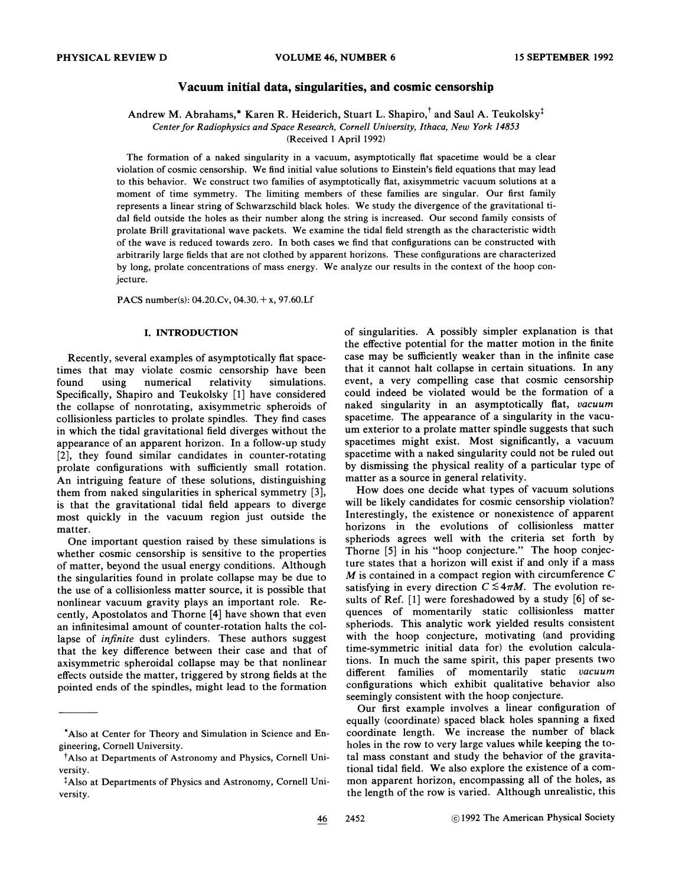# Vacuum initial data, singularities, and cosmic censorship

# Andrew M. Abrahams,\* Karen R. Heiderich, Stuart L. Shapiro, $^\dagger$  and Saul A. Teukolsky Center for Radiophysics and Space Research, Cornell University, Ithaca, New York 14853

(Received <sup>1</sup> April 1992}

The formation of a naked singularity in a vacuum, asymptotically flat spacetime would be a clear violation of cosmic censorship. We find initial value solutions to Einstein's field equations that may lead to this behavior. We construct two families of asymptotically flat, axisymmetric vacuum solutions at a moment of time symmetry. The limiting members of these families are singular. Our first family represents a linear string of Schwarzschild black holes. We study the divergence of the gravitational tidal field outside the holes as their number along the string is increased. Our second family consists of prolate Brill gravitational wave packets. We examine the tidal field strength as the characteristic width of the wave is reduced towards zero. In both cases we find that configurations can be constructed with arbitrarily large fields that are not clothed by apparent horizons. These configurations are characterized by long, prolate concentrations of mass energy. We analyze our results in the context of the hoop conjecture.

PACS number(s}: 04.20.Cv, 04.30.+x, 97.60.Lf

# I. INTRODUCTION

Recently, several examples of asymptotically fiat spacetimes that may violate cosmic censorship have been found using numerical relativity simulations. Specifically, Shapiro and Teukolsky [l] have considered the collapse of nonrotating, axisymmetric spheroids of collisionless particles to prolate spindles. They find cases in which the tidal gravitational field diverges without the appearance of an apparent horizon. In a follow-up study [2], they found similar candidates in counter-rotating prolate configurations with sufficiently small rotation. An intriguing feature of these solutions, distinguishing them from naked singularities in spherical symmetry [3], is that the gravitational tidal field appears to diverge most quickly in the vacuum region just outside the matter.

One important question raised by these simulations is whether cosmic censorship is sensitive to the properties of matter, beyond the usual energy conditions. Although the singularities found in prolate collapse may be due to the use of a collisionless matter source, it is possible that nonlinear vacuum gravity plays an important role. Recently, Apostolatos and Thorne [4] have shown that even an infinitesimal amount of counter-rotation halts the collapse of infinite dust cylinders. These authors suggest that the key difference between their case and that of axisymmetric spheroidal collapse may be that nonlinear effects outside the matter, triggered by strong fields at the pointed ends of the spindles, might lead to the formation

of singularities. A possibly simpler explanation is that the effective potential for the matter motion in the finite case may be sufficiently weaker than in the infinite case that it cannot halt collapse in certain situations. In any event, a very compelling case that cosmic censorship could indeed be violated would be the formation of a naked singularity in an asymptotically flat, vacuum spacetime. The appearance of a singularity in the vacuum exterior to a prolate matter spindle suggests that such spacetimes might exist. Most significantly, a vacuum spacetime with a naked singularity could not be ruled out by dismissing the physical reality of a particular type of matter as a source in general relativity.

How does one decide what types of vacuum solutions will be likely candidates for cosmic censorship violation? Interestingly, the existence or nonexistence of apparent horizons in the evolutions of collisionless matter spheriods agrees well with the criteria set forth by Thorne [5] in his "hoop conjecture." The hoop conjecture states that a horizon will exist if and only if a mass  $M$  is contained in a compact region with circumference  $C$ satisfying in every direction  $C \lesssim 4\pi M$ . The evolution results of Ref. [l] were foreshadowed by a study [6] of sequences of momentarily static collisionless matter spheriods. This analytic work yielded results consistent with the hoop conjecture, motivating (and providing time-symmetric initial data for) the evolution calculations. In much the same spirit, this paper presents two different families of momentarily static vacuum configurations which exhibit qualitative behavior also seemingly consistent with the hoop conjecture.

Our first example involves a linear configuration of equally (coordinate) spaced black holes spanning a fixed coordinate length. We increase the number of black holes in the row to very large values while keeping the total mass constant and study the behavior of the gravitational tidal field. We also explore the existence of a common apparent horizon, encompassing all of the holes, as the length of the row is varied. Although unrealistic, this

<sup>\*</sup>Also at Center for Theory and Simulation in Science and Engineering, Cornell University.

<sup>~</sup>Also at Departments of Astronomy and Physics, Cornell University.

<sup>&</sup>lt;sup>‡</sup>Also at Departments of Physics and Astronomy, Cornell University.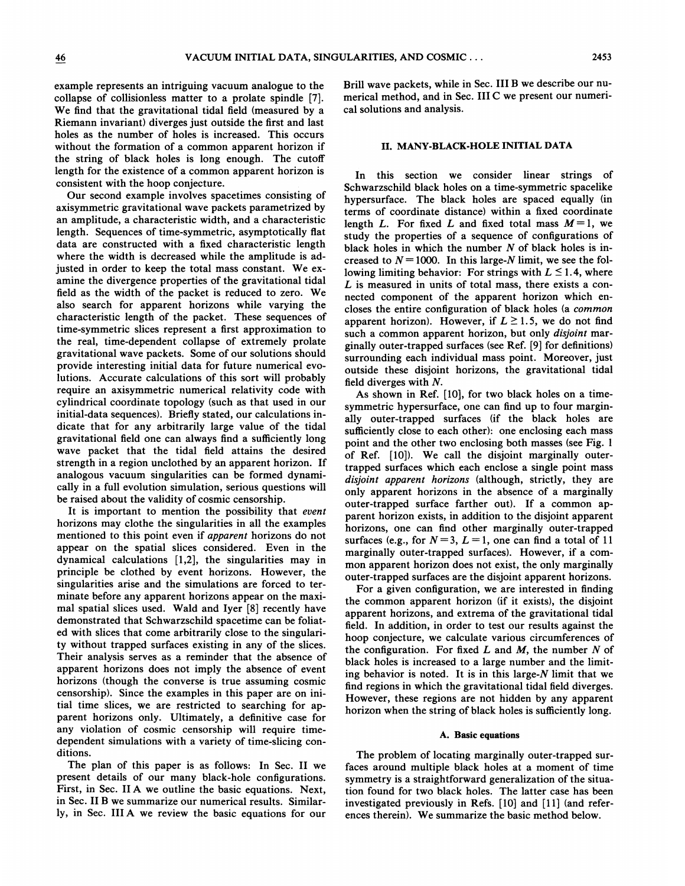example represents an intriguing vacuum analogue to the collapse of collisionless matter to a prolate spindle [7]. We find that the gravitational tidal field (measured by a Riemann invariant) diverges just outside the first and last holes as the number of holes is increased. This occurs without the formation of a common apparent horizon if the string of black holes is long enough. The cutoff length for the existence of a common apparent horizon is consistent with the hoop conjecture.

Our second example involves spacetimes consisting of axisymmetric gravitational wave packets parametrized by an amplitude, a characteristic width, and a characteristic length. Sequences of time-symmetric, asymptotically flat data are constructed with a fixed characteristic length where the width is decreased while the amplitude is adjusted in order to keep the total mass constant. We examine the divergence properties of the gravitational tidal field as the width of the packet is reduced to zero. We also search for apparent horizons while varying the characteristic length of the packet. These sequences of time-symmetric slices represent a first approximation to the real, time-dependent collapse of extremely prolate gravitational wave packets. Some of our solutions should provide interesting initial data for future numerical evolutions. Accurate calculations of this sort will probably require an axisymmetric numerical relativity code with cylindrical coordinate topology (such as that used in our initial-data sequences). Briefiy stated, our calculations indicate that for any arbitrarily large value of the tidal gravitational field one can always find a sufficiently long wave packet that the tidal field attains the desired strength in a region unclothed by an apparent horizon. If analogous vacuum singularities can be formed dynamically in a full evolution simulation, serious questions will be raised about the validity of cosmic censorship.

It is important to mention the possibility that event horizons may clothe the singularities in all the examples mentioned to this point even if apparent horizons do not appear on the spatial slices considered. Even in the dynamical calculations [1,2], the singularities may in principle be clothed by event horizons. However, the singularities arise and the simulations are forced to terminate before any apparent horizons appear on the maximal spatial slices used. Wald and Iyer [8] recently have demonstrated that Schwarzschild spacetime can be foliated with slices that come arbitrarily close to the singularity without trapped surfaces existing in any of the slices. Their analysis serves as a reminder that the absence of apparent horizons does not imply the absence of event horizons (though the converse is true assuming cosmic censorship). Since the examples in this paper are on initial time slices, we are restricted to searching for apparent horizons only. Ultimately, a definitive case for any violation of cosmic censorship will require timedependent simulations with a variety of time-slicing conditions.

The plan of this paper is as follows: In Sec. II we present details of our many black-hole configurations. First, in Sec. II A we outline the basic equations. Next, in Sec. II B we summarize our numerical results. Similarly, in Sec. IIIA we review the basic equations for our Brill wave packets, while in Sec. III 8 we describe our numerical method, and in Sec. III C we present our numerical solutions and analysis.

### II. MANY-BLACK-HOLE INITIAL DATA

In this section we consider linear strings of Schwarzschild black holes on a time-symmetric spacelike hypersurface. The black holes are spaced equally (in terms of coordinate distance) within a fixed coordinate length L. For fixed L and fixed total mass  $M=1$ , we study the properties of a sequence of configurations of black holes in which the number  $N$  of black holes is increased to  $N = 1000$ . In this large-N limit, we see the following limiting behavior: For strings with  $L \leq 1.4$ , where L is measured in units of total mass, there exists a connected component of the apparent horizon which encloses the entire configuration of black holes (a common apparent horizon). However, if  $L \ge 1.5$ , we do not find such a common apparent horizon, but only disjoint marginally outer-trapped surfaces (see Ref. [9] for definitions) surrounding each individual mass point. Moreover, just outside these disjoint horizons, the gravitational tidal field diverges with N.

As shown in Ref. [10], for two black holes on a timesymmetric hypersurface, one can find up to four marginally outer-trapped surfaces (if the black holes are sufficiently close to each other): one enclosing each mass point and the other two enclosing both masses (see Fig. <sup>1</sup> of Ref. [10]). We call the disjoint marginally outertrapped surfaces which each enclose a single point mass disjoint apparent horizons (although, strictly, they are only apparent horizons in the absence of a marginally outer-trapped surface farther out). If a common apparent horizon exists, in addition to the disjoint apparent horizons, one can find other marginally outer-trapped surfaces (e.g., for  $N=3$ ,  $L=1$ , one can find a total of 11 marginally outer-trapped surfaces). However, if a common apparent horizon does not exist, the only marginally outer-trapped surfaces are the disjoint apparent horizons.

For a given configuration, we are interested in finding the common apparent horizon (if it exists), the disjoint apparent horizons, and extrema of the gravitational tidal field. In addition, in order to test our results against the hoop conjecture, we calculate various circumferences of the configuration. For fixed  $L$  and  $M$ , the number  $N$  of black holes is increased to a large number and the limiting behavior is noted. It is in this large- $N$  limit that we find regions in which the gravitational tidal field diverges. However, these regions are not hidden by any apparent horizon when the string of black holes is sufficiently long.

#### A. Basic equations

The problem of locating marginally outer-trapped surfaces around multiple black holes at a moment of time symmetry is a straightforward generalization of the situation found for two black holes. The latter case has been investigated previously in Refs. [10] and [11] (and references therein). We summarize the basic method below.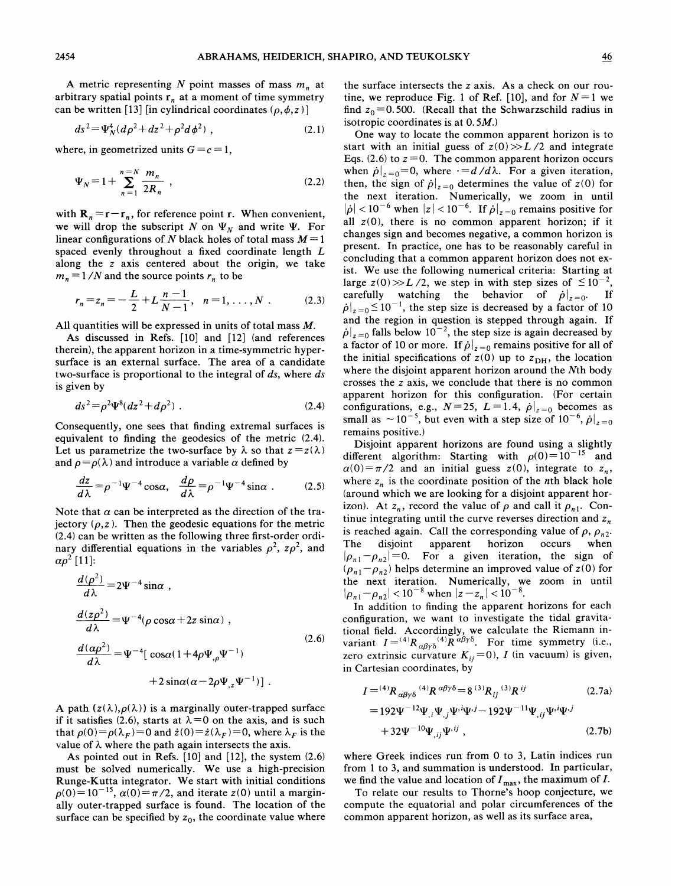A metric representing N point masses of mass  $m<sub>n</sub>$  at arbitrary spatial points  $r_n$  at a moment of time symmetry can be written [13] [in cylindrical coordinates  $(\rho, \phi, z)$ ]

$$
ds^{2} = \Psi_{N}^{4}(d\rho^{2} + dz^{2} + \rho^{2}d\phi^{2}), \qquad (2.1)
$$

where, in geometrized units  $G = c = 1$ ,

$$
\Psi_N = 1 + \sum_{n=1}^{n=N} \frac{m_n}{2R_n} \,, \tag{2.2}
$$

with  $\mathbf{R}_n = \mathbf{r} - \mathbf{r}_n$ , for reference point r. When convenient, we will drop the subscript N on  $\Psi_N$  and write  $\Psi$ . For linear configurations of N black holes of total mass  $M = 1$ spaced evenly throughout a fixed coordinate length L along the z axis centered about the origin, we take  $m_n = 1/N$  and the source points  $r_n$  to be

$$
r_n = z_n = -\frac{L}{2} + L\frac{n-1}{N-1}, \quad n = 1, ..., N
$$
 (2.3)

All quantities will be expressed in units of total mass  $M$ .

As discussed in Refs. [10] and [12] (and references therein), the apparent horizon in a time-symmetric hypersurface is an external surface. The area of a candidate two-surface is proportional to the integral of ds, where ds is given by

$$
ds^2 = \rho^2 \Psi^8 (dz^2 + d\rho^2) \tag{2.4}
$$

Consequently, one sees that finding extremal surfaces is equivalent to finding the geodesics of the metric (2.4). Let us parametrize the two-surface by  $\lambda$  so that  $z = z(\lambda)$ and  $\rho = \rho(\lambda)$  and introduce a variable  $\alpha$  defined by

$$
\frac{dz}{d\lambda} = \rho^{-1}\Psi^{-4}\cos\alpha, \quad \frac{d\rho}{d\lambda} = \rho^{-1}\Psi^{-4}\sin\alpha \quad . \tag{2.5}
$$

Note that  $\alpha$  can be interpreted as the direction of the trajectory  $(\rho, z)$ . Then the geodesic equations for the metric (2.4) can be written as the following three first-order ordinary differential equations in the variables  $\rho^2$ ,  $z\rho^2$ , and  $\alpha \rho^2$  [11]:

$$
\frac{d(\rho^2)}{d\lambda} = 2\Psi^{-4}\sin\alpha ,
$$
  

$$
\frac{d(z\rho^2)}{d\lambda} = \Psi^{-4}(\rho\cos\alpha + 2z\sin\alpha) ,
$$
  

$$
\frac{d(\alpha\rho^2)}{d\lambda} = \Psi^{-4}[\cos\alpha(1 + 4\rho\Psi_{,\rho}\Psi^{-1})
$$
  

$$
+ 2\sin\alpha(\alpha - 2\rho\Psi_z\Psi^{-1}) ].
$$
\n(2.6)

A path  $(z(\lambda), \rho(\lambda))$  is a marginally outer-trapped surface if it satisfies (2.6), starts at  $\lambda = 0$  on the axis, and is such that  $\rho(0) = \rho(\lambda_F) = 0$  and  $\dot{z}(0) = \dot{z}(\lambda_F) = 0$ , where  $\lambda_F$  is the value of  $\lambda$  where the path again intersects the axis.

As pointed out in Refs. [10] and [12], the system (2.6) must be solved numerically. We use a high-precision Runge-Kutta integrator. We start with initial conditions  $\rho(0)$  = 10<sup>-15</sup>,  $\alpha(0)$  =  $\pi/2$ , and iterate z(0) until a marginally outer-trapped surface is found. The location of the surface can be specified by  $z_0$ , the coordinate value where the surface intersects the z axis. As a check on our routine, we reproduce Fig. 1 of Ref. [10], and for  $N=1$  we find  $z_0$  = 0.500. (Recall that the Schwarzschild radius in isotropic coordinates is at  $0.5M$ .)

One way to locate the common apparent horizon is to start with an initial guess of  $z(0) \gg L/2$  and integrate Eqs. (2.6) to  $z = 0$ . The common apparent horizon occurs when  $\dot{\rho}|_{z=0}=0$ , where  $\eta=d/d\lambda$ . For a given iteration, then, the sign of  $\dot{\rho}|_{z=0}$  determines the value of  $z(0)$  for the next iteration. Numerically, we zoom in until  $|\dot{\rho}| < 10^{-6}$  when  $|z| < 10^{-6}$ . If  $\dot{\rho}|_{z=0}$  remains positive for all  $z(0)$ , there is no common apparent horizon; if it changes sign and becomes negative, a common horizon is present. In practice, one has to be reasonably careful in concluding that a common apparent horizon does not exist. We use the following numerical criteria: Starting at large  $z(0) \gg L/2$ , we step in with step sizes of  $\leq 10^{-2}$ , carefully watching the behavior of  $\dot{\rho}|_{z=0}$ . If  $\dot{\rho}|_{z=0} \le 10^{-1}$ , the step size is decreased by a factor of 10 and the region in question is stepped through again. If and the region in question is stepped through again. If  $\dot{\rho}|_{z=0}$  falls below 10<sup>-2</sup>, the step size is again decreased by a factor of 10 or more. If  $\dot{\rho}|_{z=0}$  remains positive for all of the initial specifications of  $z(0)$  up to  $z<sub>DH</sub>$ , the location where the disjoint apparent horizon around the Nth body crosses the z axis, we conclude that there is no common apparent horizon for this configuration. (For certain configurations, e.g.,  $N=25$ ,  $L=1.4$ ,  $\dot{\rho}|_{z=0}$  becomes as comigurations, e.g.,  $N = 23$ ,  $L = 1.4$ ,  $p|_{z=0}$  becomes<br>small as  $\sim 10^{-5}$ , but even with a step size of  $10^{-6}$ ,  $p|_{z=0}$ remains positive. )

Disjoint apparent horizons are found using a slightly different algorithm: Starting with  $\rho(0) = 10^{-15}$  and  $\alpha(0) = \pi/2$  and an initial guess  $z(0)$ , integrate to  $z_n$ , where  $z_n$  is the coordinate position of the *n*th black hole (around which we are looking for a disjoint apparent horizon). At  $z_n$ , record the value of  $\rho$  and call it  $\rho_{n1}$ . Continue integrating until the curve reverses direction and  $z_n$ is reached again. Call the corresponding value of  $\rho$ ,  $\rho_{n2}$ .<br>The disjoint apparent horizon occurs when disjoint apparent horizon occurs when  $|\rho_{n1} - \rho_{n2}| = 0$ . For a given iteration, the sign of  $(\rho_{n1} - \rho_{n2})$  helps determine an improved value of  $z(0)$  for the next iteration. Numerically, we zoom in until  $|\rho_{n1} - \rho_{n2}| < 10^{-8}$  when  $|z - z_n| < 10^{-8}$ .

In addition to finding the apparent horizons for each configuration, we want to investigate the tidal gravitational field. Accordingly, we calculate the Riemann invariant  $I = {}^{(4)}R_{\alpha\beta\gamma\delta} {}^{(4)}R_{\alpha\beta\gamma\delta}$ . For time symmetry (i.e., zero extrinsic curvature  $K_{ii} = 0$ ), I (in vacuum) is given, in Cartesian coordinates, by

$$
I = {}^{(4)}R_{\alpha\beta\gamma\delta} {}^{(4)}R^{\alpha\beta\gamma\delta} = 8 {}^{(3)}R_{ij} {}^{(3)}R^{ij}
$$
\n
$$
= 192\Psi^{-12}\Psi_{,i}\Psi_{,j}\Psi^{,i}\Psi^{,j} - 192\Psi^{-11}\Psi_{,ij}\Psi^{,i}\Psi^{,j}
$$
\n
$$
+ 32\Psi^{-10}\Psi_{,ij}\Psi^{,ij},
$$
\n(2.7b)

where Greek indices run from 0 to 3, Latin indices run from <sup>1</sup> to 3, and summation is understood. In particular, from 1 to 3, and summation is understood. In particular,<br>we find the value and location of  $I_{\text{max}}$ , the maximum of  $I$ .

To relate our results to Thorne's hoop conjecture, we compute the equatorial and polar circumferences of the common apparent horizon, as well as its surface area,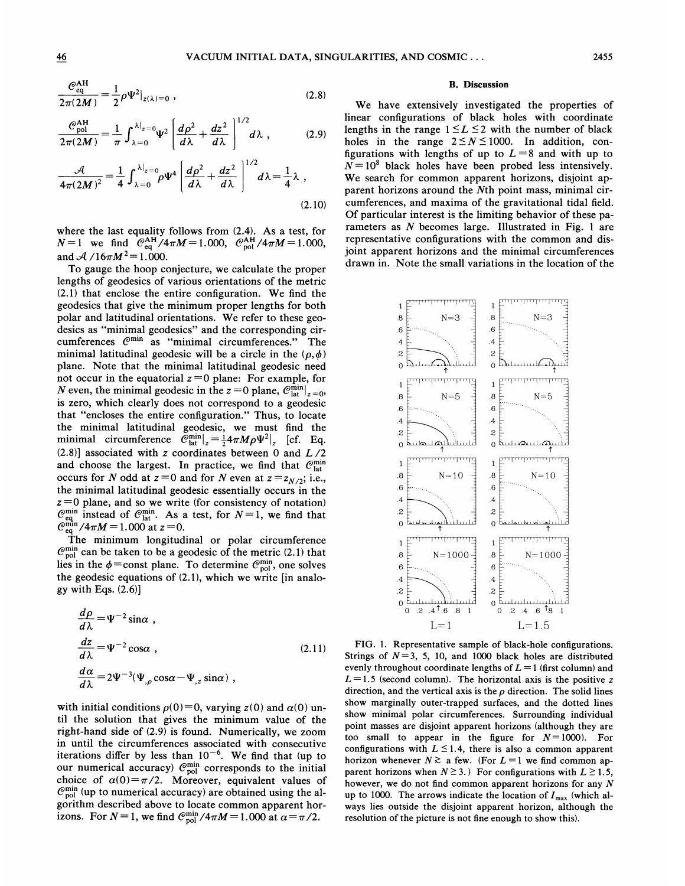$$
\frac{\mathcal{C}_{\text{eq}}^{\text{AH}}}{2\pi(2M)} = \frac{1}{2}\rho\Psi^2|_{z(\lambda)=0},
$$
\n(2.8)

$$
\frac{\mathcal{C}_{\text{pol}}^{\text{AH}}}{2\pi(2M)} = \frac{1}{\pi} \int_{\lambda=0}^{\lambda|_{z=0}} \Psi^2 \left[ \frac{d\rho^2}{d\lambda} + \frac{dz^2}{d\lambda} \right]^{1/2} d\lambda , \qquad (2.9)
$$

$$
\frac{\mathcal{A}}{4\pi (2M)^2} = \frac{1}{4} \int_{\lambda=0}^{\lambda|_{z=0}} \rho \Psi^4 \left[ \frac{d\rho^2}{d\lambda} + \frac{dz^2}{d\lambda} \right]^{1/2} d\lambda = \frac{1}{4} \lambda ,
$$
\n(2.10)

where the last equality follows from (2.4). As a test, for  $N=1$  we find  $C_{eq}^{AH}/4\pi M=1.000$ ,  $C_{pol}^{AH}/4\pi M=1.000$ , and  $A/16\pi M^2 = 1.000$ .

To gauge the hoop conjecture, we calculate the proper lengths of geodesics of various orientations of the metric (2.1) that enclose the entire configuration. We find the geodesics that give the minimum proper lengths for both polar and latitudinal orientations. We refer to these geodesics as "minimal geodesics" and the corresponding cirdesics as "minimal geodesics" and the corresponding cir-<br>cumferences  $\mathcal{C}^{\min}$  as "minimal circumferences." The minimal latitudinal geodesic will be a circle in the  $(\rho, \phi)$ plane. Note that the minimal latitudinal geodesic need not occur in the equatorial  $z = 0$  plane: For example, for N even, the minimal geodesic in the  $z=0$  plane,  $\mathcal{C}_{\text{lat}}^{\text{min}}\big|_{z=0}$ , is zero, which clearly does not correspond to a geodesic that "encloses the entire configuration." Thus, to locate the minimal latitudinal geodesic, we must find the minimal circumference  $\overline{C}_{\text{lat}}^{\text{min}}|_{z} = \frac{1}{2} 4 \pi M \rho \Psi^{2}|_{z}$  [cf. Eq. (2.8)] associated with z coordinates between 0 and  $L/2$ and choose the largest. In practice, we find that  $\mathcal{C}_{lat}^{min}$ occurs for N odd at  $z = 0$  and for N even at  $z = z_{N/2}$ ; i.e., the minimal latitudinal geodesic essentially occurs in the  $z=0$  plane, and so we write (for consistency of notation)  $C_{\text{eq}}^{\text{min}}$  instead of  $C_{\text{lat}}^{\text{min}}$ . As a test, for  $N=1$ , we find that  $C_{\text{eq}}^{\text{min}}/4\pi M = 1.000 \text{ at } z = 0.$ 

The minimum longitudinal or polar circumference  $\mathcal{C}_{pol}^{min}$  can be taken to be a geodesic of the metric (2.1) that lies in the  $\phi$ =const plane. To determine  $\mathcal{C}_{pol}^{min}$ , one solves the geodesic equations of (2.1), which we write [in analogy with Eqs. (2.6)]

$$
\frac{d\rho}{d\lambda} = \Psi^{-2} \sin \alpha ,
$$
  
\n
$$
\frac{dz}{d\lambda} = \Psi^{-2} \cos \alpha ,
$$
  
\n
$$
\frac{d\alpha}{d\lambda} = 2\Psi^{-3}(\Psi_{,\rho} \cos \alpha - \Psi_{,z} \sin \alpha) ,
$$
\n(2.11)

with initial conditions  $\rho(0) = 0$ , varying  $z(0)$  and  $\alpha(0)$  until the solution that gives the minimum value of the right-hand side of  $(2.9)$  is found. Numerically, we zoom in until the circumferences associated with consecutive iterations differ by less than  $10^{-6}$ . We find that (up to our numerical accuracy)  $\mathcal{C}_{pol}^{min}$  corresponds to the initial choice of  $\alpha(0) = \pi/2$ . Moreover, equivalent values of  $\mathcal{C}_{pol}^{min}$  (up to numerical accuracy) are obtained using the algorithm described above to locate common apparent horizons. For  $N=1$ , we find  $\mathcal{C}_{pol}^{min}/4\pi M=1.000$  at  $\alpha=\pi/2$ .

# B. Discussion

We have extensively investigated the properties of linear configurations of black holes with coordinate lengths in the range  $1 \le L \le 2$  with the number of black holes in the range  $2 \le N \le 1000$ . In addition, configurations with lengths of up to  $L = 8$  and with up to  $N=10^8$  black holes have been probed less intensively. We search for common apparent horizons, disjoint apparent horizons around the Nth point mass, minimal circumferences, and maxima of the gravitational tidal field. Of particular interest is the limiting behavior of these parameters as N becomes large. Illustrated in Fig. <sup>1</sup> are representative configurations with the common and disjoint apparent horizons and the minimal circumferences drawn in. Note the small variations in the location of the



FIG. 1. Representative sample of black-hole configurations. Strings of  $N=3$ , 5, 10, and 1000 black holes are distributed evenly throughout coordinate lengths of  $L = 1$  (first column) and  $L = 1.5$  (second column). The horizontal axis is the positive z direction, and the vertical axis is the  $\rho$  direction. The solid lines show marginally outer-trapped surfaces, and the dotted lines show minimal polar circumferences. Surrounding individual point masses are disjoint apparent horizons (although they are too small to appear in the figure for  $N = 1000$ . For configurations with  $L \leq 1.4$ , there is also a common apparent horizon whenever  $N \gtrsim$  a few. (For  $L = 1$  we find common apparent horizons when  $N \ge 3$ .) For configurations with  $L \ge 1.5$ , however, we do not find common apparent horizons for any N up to 1000. The arrows indicate the location of  $I_{\text{max}}$  (which always lies outside the disjoint apparent horizon, although the resolution of the picture is not fine enough to show this).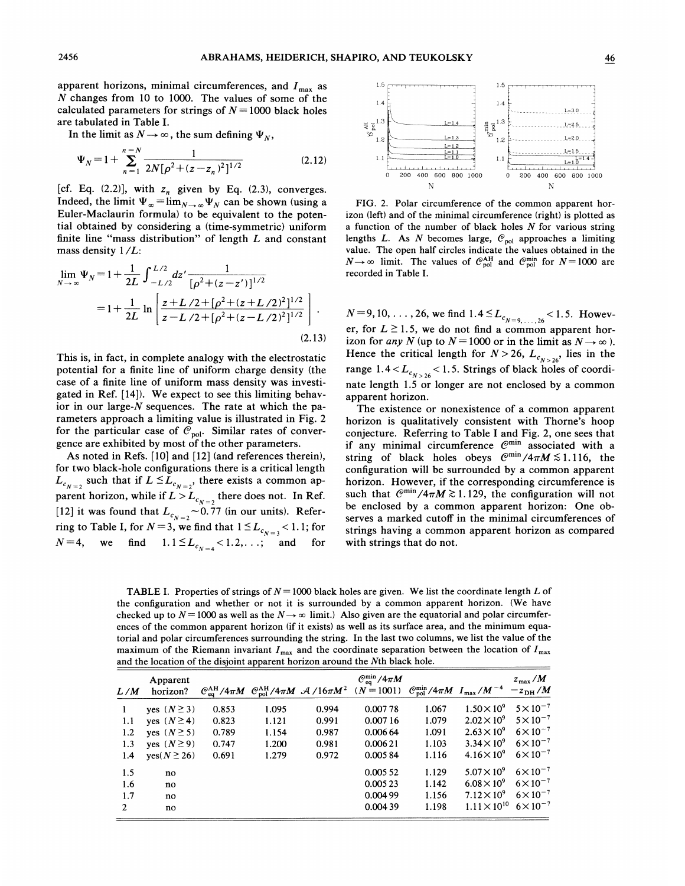apparent horizons, minimal circumferences, and  $I_{\text{max}}$  as N changes from 10 to 1000. The values of some of the calculated parameters for strings of  $N=1000$  black holes are tabulated in Table I.

In the limit as  $N \rightarrow \infty$ , the sum defining  $\Psi_N$ ,

$$
\Psi_N = 1 + \sum_{n=1}^{n=N} \frac{1}{2N[\rho^2 + (z - z_n)^2]^{1/2}}
$$
(2.12)

[cf. Eq. (2.2)], with  $z_n$  given by Eq. (2.3), converges. Indeed, the limit  $\Psi_{\infty} = \lim_{N \to \infty} \Psi_N$  can be shown (using a Euler-Maclaurin formula) to be equivalent to the potential obtained by considering a (time-symmetric) uniform finite line "mass distribution" of length  $L$  and constant mass density  $1/L$ :

$$
\lim_{N \to \infty} \Psi_N = 1 + \frac{1}{2L} \int_{-L/2}^{L/2} dz' \frac{1}{[\rho^2 + (z - z')]^{1/2}}
$$
  
=  $1 + \frac{1}{2L} \ln \left[ \frac{z + L/2 + [\rho^2 + (z + L/2)^2]^{1/2}}{z - L/2 + [\rho^2 + (z - L/2)^2]^{1/2}} \right].$  (2.13)

This is, in fact, in complete analogy with the electrostatic potential for a finite line of uniform charge density (the case of a finite line of uniform mass density was investigated in Ref. [14]). We expect to see this limiting behavior in our large- $N$  sequences. The rate at which the parameters approach a limiting value is illustrated in Fig. 2 for the particular case of  $\mathcal{C}_{pol}$ . Similar rates of convergence are exhibited by most of the other parameters.

As noted in Refs. [10] and [12] (and references therein), for two black-hole configurations there is a critical length  $L_{c_{N-2}}$  such that if  $L \le L_{c_{N-2}}$ , there exists a common apparent horizon, while if  $L > L_{c_{N=2}}$  there does not. In Ref. [12] it was found that  $L_{c_{N-2}} \sim 0.77$  (in our units). Referring to Table I, for  $N=3$ , we find that  $1 \le L_{c_{N=3}} < 1.1$ ; for  $N=4$ , we find  $1.1 \le L_{c} < 1.2...$ ; and for we find  $1.1 \le L_{c_{N=4}} < 1.2, \ldots$ ; and for



FIG. 2. Polar circumference of the common apparent horizon (left) and of the minimal circumference (right) is plotted as a function of the number of black holes  $N$  for various string lengths L. As N becomes large,  $C_{pol}$  approaches a limiting value. The open half circles indicate the values obtained in the  $N \rightarrow \infty$  limit. The values of  $C_{pol}^{AH}$  and  $C_{pol}^{min}$  for  $N=1000$  are recorded in Table I.

 $N=9, 10, \ldots, 26$ , we find  $1.4 \le L_{c_{N=9, \ldots, 26}} < 1.5$ . However, for  $L \ge 1.5$ , we do not find a common apparent horizon for any N (up to  $N = 1000$  or in the limit as  $N \rightarrow \infty$ ). Hence the critical length for  $N > 26$ ,  $L_{c_{N} > 26}$ , lies in the range  $1.4 < L_{c_{N>26}} < 1.5$ . Strings of black holes of coordinate length 1.5 or longer are not enclosed by a common apparent horizon.

The existence or nonexistence of a common apparent horizon is qualitatively consistent with Thorne's hoop conjecture. Referring to Table I and Fig. 2, one sees that if any minimal circumference  $\mathcal{C}^{\min}$  associated with a string of black holes obeys  $\mathcal{C}^{\min}/4\pi M \lesssim 1.116$ , the configuration will be surrounded by a common apparent horizon. However, if the corresponding circumference is such that  $\mathcal{C}^{\min}/4\pi M \gtrsim 1.129$ , the configuration will not be enclosed by a common apparent horizon: One observes a marked cutoff in the minimal circumferences of strings having a common apparent horizon as compared with strings that do not.

TABLE I. Properties of strings of  $N = 1000$  black holes are given. We list the coordinate length L of the configuration and whether or not it is surrounded by a common apparent horizon. (We have the configuration and whether or not it is surrounded by a common apparent norizon. (we have checked up to  $N = 1000$  as well as the  $N \rightarrow \infty$  limit.) Also given are the equatorial and polar circumferences of the common apparent horizon (if it exists) as well as its surface area, and the minimum equatorial and polar circumferences surrounding the string. In the last two columns, we list the value of the maximum of the Riemann invariant  $I_{\text{max}}$  and the coordinate separation between the location of  $I_{\text{max}}$ and the location of the disjoint apparent horizon around the Nth black hole.

|                | Apparent         | $\mathcal{C}_{\mathrm{ea}}^{\mathrm{min}}$ /4 $\pi M$<br>$z_{\rm max}/M$ |       |                                                               |              |                                                             |                       |                    |  |  |
|----------------|------------------|--------------------------------------------------------------------------|-------|---------------------------------------------------------------|--------------|-------------------------------------------------------------|-----------------------|--------------------|--|--|
| L/M            | horizon?         | $\mathcal{C}_{\mathrm{ea}}^{\mathrm{AH}}/4\pi M$                         |       | $\mathcal{C}_{\rm pol}^{\rm AH}/4\pi M \mathcal{A}/16\pi M^2$ | $(N = 1001)$ | $\mathcal{C}_{\rm pol}^{\rm min}/4\pi M I_{\rm max}/M^{-4}$ |                       | $-z_{\text{DH}}/M$ |  |  |
| 1              | yes $(N \geq 3)$ | 0.853                                                                    | 1.095 | 0.994                                                         | 0.00778      | 1.067                                                       | $1.50 \times 10^{9}$  | $5 \times 10^{-7}$ |  |  |
| 1.1            | yes $(N \geq 4)$ | 0.823                                                                    | 1.121 | 0.991                                                         | 0.00716      | 1.079                                                       | $2.02 \times 10^{9}$  | $5 \times 10^{-7}$ |  |  |
| 1.2            | yes $(N \geq 5)$ | 0.789                                                                    | 1.154 | 0.987                                                         | 0.006 64     | 1.091                                                       | $2.63 \times 10^{9}$  | $6 \times 10^{-7}$ |  |  |
| 1.3            | yes $(N \geq 9)$ | 0.747                                                                    | 1.200 | 0.981                                                         | 0.00621      | 1.103                                                       | $3.34 \times 10^{9}$  | $6 \times 10^{-7}$ |  |  |
| 1.4            | $yes(N \ge 26)$  | 0.691                                                                    | 1.279 | 0.972                                                         | 0.00584      | 1.116                                                       | $4.16 \times 10^{9}$  | $6 \times 10^{-7}$ |  |  |
| 1.5            | no               |                                                                          |       |                                                               | 0.005 52     | 1.129                                                       | $5.07 \times 10^{9}$  | $6 \times 10^{-7}$ |  |  |
| 1.6            | no               |                                                                          |       |                                                               | 0.00523      | 1.142                                                       | $6.08\times10^{9}$    | $6 \times 10^{-7}$ |  |  |
| 1.7            | no.              |                                                                          |       |                                                               | 0.00499      | 1.156                                                       | $7.12 \times 10^{9}$  | $6 \times 10^{-7}$ |  |  |
| $\overline{2}$ | no               |                                                                          |       |                                                               | 0.00439      | 1.198                                                       | $1.11 \times 10^{10}$ | $6 \times 10^{-7}$ |  |  |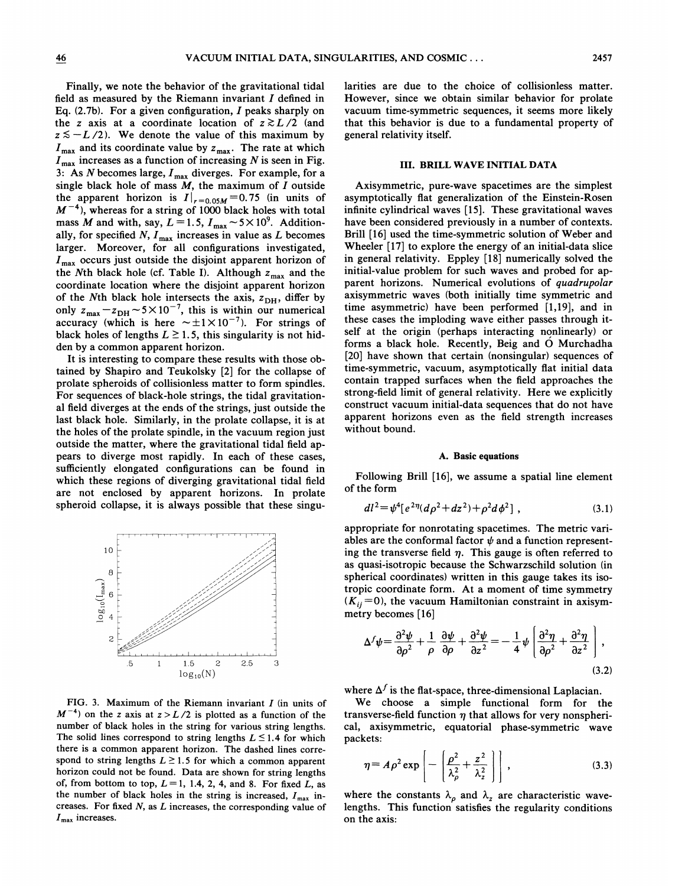Finally, we note the behavior of the gravitational tidal field as measured by the Riemann invariant  $I$  defined in Eq. (2.7b). For a given configuration,  $I$  peaks sharply on the z axis at a coordinate location of  $z \gtrsim L/2$  (and  $z \lesssim -L/2$ ). We denote the value of this maximum by  $I_{\text{max}}$  and its coordinate value by  $z_{\text{max}}$ . The rate at which  $I_{\text{max}}$  increases as a function of increasing N is seen in Fig.<br>3: As N becomes large,  $I_{\text{max}}$  diverges. For example, for a  $I_{\text{max}}$  increases as a function of increasing N is seen in Fig. single black hole of mass  $M$ , the maximum of  $I$  outside the apparent horizon is  $I|_{r=0.05M}=0.75$  (in units of  $M^{-4}$ ), whereas for a string of 1000 black holes with total mass M and with, say,  $L = 1.5$ ,  $I_{\text{max}} \sim 5 \times 10^9$ . Additionally, for specified N,  $I_{\text{max}}$  increases in value as L becomes larger. Moreover, for all configurations investigated,  $I_{\text{max}}$  occurs just outside the disjoint apparent horizon of the Nth black hole (cf. Table I). Although  $z_{\text{max}}$  and the coordinate location where the disjoint apparent horizon of the Nth black hole intersects the axis,  $z_{\text{DH}}$ , differ by only  $z_{\text{max}} - z_{\text{DH}} \sim 5 \times 10^{-7}$ , this is within our numerical accuracy (which is here  $\sim \pm 1 \times 10^{-7}$ ). For strings of black holes of lengths  $L \ge 1.5$ , this singularity is not hidden by a common apparent horizon.

It is interesting to compare these results with those obtained by Shapiro and Teukolsky [2] for the collapse of prolate spheroids of collisionless matter to form spindles. For sequences of black-hole strings, the tidal gravitational field diverges at the ends of the strings, just outside the last black hole. Similarly, in the prolate collapse, it is at the holes of the prolate spindle, in the vacuum region just outside the matter, where the gravitational tidal field appears to diverge most rapidly. In each of these cases, sufficiently elongated configurations can be found in which these regions of diverging gravitational tidal field are not enclosed by apparent horizons. In prolate spheroid collapse, it is always possible that these singu-



FIG. 3. Maximum of the Riemann invariant  $I$  (in units of  $M^{-4}$ ) on the z axis at  $z > L/2$  is plotted as a function of the number of black holes in the string for various string lengths. The solid lines correspond to string lengths  $L \leq 1.4$  for which there is a common apparent horizon. The dashed lines correspond to string lengths  $L \ge 1.5$  for which a common apparent horizon could not be found. Data are shown for string lengths of, from bottom to top,  $L = 1$ , 1.4, 2, 4, and 8. For fixed L, as the number of black holes in the string is increased,  $I_{\text{max}}$  increases. For fixed N, as L increases, the corresponding value of  $I_{\text{max}}$  increases.

larities are due to the choice of collisionless matter. However, since we obtain similar behavior for prolate vacuum time-symmetric sequences, it seems more likely that this behavior is due to a fundamental property of general relativity itself.

# III. BRILL WAVE INITIAL DATA

Axisymmetric, pure-wave spacetimes are the simplest asymptotically Hat generalization of the Einstein-Rosen infinite cylindrical waves [15]. These gravitational waves have been considered previously in a number of contexts. Brill [16] used the time-symmetric solution of Weber and Wheeler [17] to explore the energy of an initial-data slice in general relativity. Eppley [18] numerically solved the initial-value problem for such waves and probed for apparent horizons. Numerical evolutions of quadrupolar axisymmetric waves (both initially time symmetric and time asymmetric) have been performed [1,19], and in these cases the imploding wave either passes through itself at the origin (perhaps interacting nonlinearly) or forms a black hole. Recently, Beig and  $\acute{O}$  Murchadha [20] have shown that certain (nonsingular) sequences of time-symmetric, vacuum, asymptotically fiat initial data contain trapped surfaces when the field approaches the strong-field limit of general relativity. Here we explicitly construct vacuum initial-data sequences that do not have apparent horizons even as the field strength increases without bound.

## A. Basic equations

Following Brill [16], we assume a spatial line element of the form

$$
dl^2 = \psi^4 \left[ e^{2\eta} (d\rho^2 + dz^2) + \rho^2 d\phi^2 \right] \,, \tag{3.1}
$$

appropriate for nonrotating spacetimes. The metric variables are the conformal factor  $\psi$  and a function representing the transverse field  $\eta$ . This gauge is often referred to as quasi-isotropic because the Schwarzschild solution (in spherical coordinates) written in this gauge takes its isotropic coordinate form. At a moment of time symmetry  $(K_{ii} = 0)$ , the vacuum Hamiltonian constraint in axisymmetry becomes [16]

$$
\Delta^f \psi = \frac{\partial^2 \psi}{\partial \rho^2} + \frac{1}{\rho} \frac{\partial \psi}{\partial \rho} + \frac{\partial^2 \psi}{\partial z^2} = -\frac{1}{4} \psi \left[ \frac{\partial^2 \eta}{\partial \rho^2} + \frac{\partial^2 \eta}{\partial z^2} \right],
$$
\n(3.2)

where  $\Delta^f$  is the flat-space, three-dimensional Laplacian.

We choose a simple functional form for the transverse-field function  $\eta$  that allows for very nonspherical, axisymmetric, equatorial phase-symmetric wave packets:

$$
\eta = A \rho^2 \exp \left[ - \left( \frac{\rho^2}{\lambda_\rho^2} + \frac{z^2}{\lambda_z^2} \right) \right], \qquad (3.3)
$$

where the constants  $\lambda_{\rho}$  and  $\lambda_{z}$  are characteristic wave lengths. This function satisfies the regularity conditions on the axis: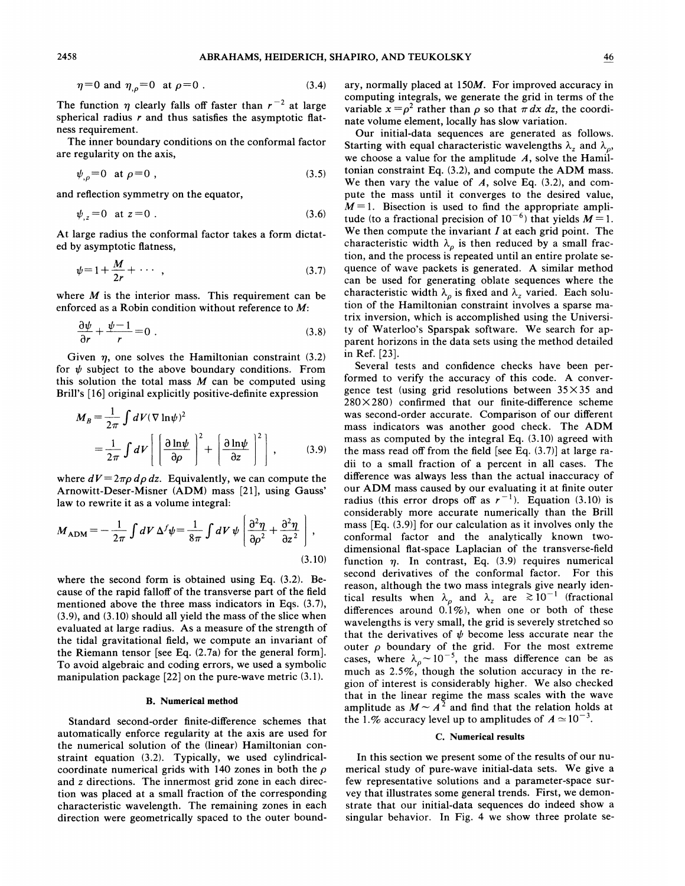$$
\eta = 0
$$
 and  $\eta_{,\rho} = 0$  at  $\rho = 0$ . (3.4)

The function  $\eta$  clearly falls off faster than  $r^{-2}$  at large spherical radius  $r$  and thus satisfies the asymptotic flatness requirement.

The inner boundary conditions on the conforrnal factor are regularity on the axis,

$$
\psi_{0} = 0
$$
 at  $\rho = 0$ , (3.5)

and reflection symmetry on the equator,

$$
\psi_{,z} = 0
$$
 at  $z = 0$ . (3.6)

At large radius the conformal factor takes a form dictated by asymptotic flatness,

$$
\psi = 1 + \frac{M}{2r} + \cdots , \qquad (3.7)
$$

where  $M$  is the interior mass. This requirement can be enforced as a Robin condition without reference to M:

$$
\frac{\partial \psi}{\partial r} + \frac{\psi - 1}{r} = 0 \tag{3.8}
$$

Given  $\eta$ , one solves the Hamiltonian constraint (3.2) for  $\psi$  subject to the above boundary conditions. From this solution the total mass  $M$  can be computed using Brill's [16] original explicitly positive-definite expression

$$
M_B = \frac{1}{2\pi} \int dV (\nabla \ln \psi)^2
$$
  
=  $\frac{1}{2\pi} \int dV \left[ \left( \frac{\partial \ln \psi}{\partial \rho} \right)^2 + \left( \frac{\partial \ln \psi}{\partial z} \right)^2 \right],$  (3.9)

where  $dV = 2\pi\rho \, d\rho \, dz$ . Equivalently, we can compute the Arnowitt-Deser-Misner (ADM) mass [21], using Gauss' law to rewrite it as a volume integral:

$$
M_{\rm ADM} = -\frac{1}{2\pi} \int dV \,\Delta^f \psi = \frac{1}{8\pi} \int dV \,\psi \left[ \frac{\partial^2 \eta}{\partial \rho^2} + \frac{\partial^2 \eta}{\partial z^2} \right],
$$
\n(3.10)

where the second form is obtained using Eq. (3.2). Because of the rapid falloff of the transverse part of the field mentioned above the three mass indicators in Eqs. (3.7), (3.9), and (3.10) should all yield the mass of the slice when evaluated at large radius. As a measure of the strength of the tidal gravitational field, we compute an invariant of the Riemann tensor [see Eq. (2.7a) for the general form]. To avoid algebraic and coding errors, we used a symbolic manipulation package [22] on the pure-wave metric (3.1).

### B. Numerical method

Standard second-order finite-difference schemes that automatically enforce regularity at the axis are used for the numerical solution of the (linear) Hamiltonian constraint equation (3.2). Typically, we used cylindricalcoordinate numerical grids with 140 zones in both the  $\rho$ and z directions. The innermost grid zone in each direction was placed at a small fraction of the corresponding characteristic wavelength. The remaining zones in each direction were geometrically spaced to the outer boundary, normally placed at 150M. For improved accuracy in computing integrals, we generate the grid in terms of the variable  $x = \rho^2$  rather than  $\rho$  so that  $\pi dx dz$ , the coordinate volume element, locally has slow variation.

Our initial-data sequences are generated as follows. Starting with equal characteristic wavelengths  $\lambda_z$  and  $\lambda_\rho$ , we choose a value for the amplitude  $A$ , solve the Hamiltonian constraint Eq. (3.2), and compute the ADM mass. We then vary the value of  $A$ , solve Eq. (3.2), and compute the mass until it converges to the desired value,  $M=1$ . Bisection is used to find the appropriate amplitude (to a fractional precision of  $10^{-6}$ ) that yields  $M=1$ . We then compute the invariant  $I$  at each grid point. The characteristic width  $\lambda_{\rho}$  is then reduced by a small fraction, and the process is repeated until an entire prolate sequence of wave packets is generated. A similar method can be used for generating oblate sequences where the characteristic width  $\lambda_{\rho}$  is fixed and  $\lambda_{z}$  varied. Each solution of the Hamiltonian constraint involves a sparse matrix inversion, which is accomplished using the University of Waterloo's Sparspak software. We search for apparent horizons in the data sets using the method detailed in Ref. [23].

Several tests and confidence checks have been performed to verify the accuracy of this code. A convergence test (using grid resolutions between  $35 \times 35$  and  $280\times280$ ) confirmed that our finite-difference scheme was second-order accurate. Comparison of our different mass indicators was another good check. The ADM mass as computed by the integral Eq. (3.10) agreed with the mass read off from the field [see Eq. (3.7)] at large radii to a small fraction of a percent in all cases. The difference was always less than the actual inaccuracy of our ADM mass caused by our evaluating it at finite outer radius (this error drops off as  $r^{-1}$ ). Equation (3.10) is considerably more accurate numerically than the Brill mass [Eq. (3.9)] for our calculation as it involves only the conformal factor and the analytically known twodimensional flat-space Laplacian of the transverse-field function  $\eta$ . In contrast, Eq. (3.9) requires numerical second derivatives of the conformal factor. For this reason, although the two mass integrals give nearly identical results when  $\lambda_{\rho}$  and  $\lambda_{z}$  are  $\approx 10^{-1}$  (fractional differences around  $0.1\%$ ), when one or both of these wavelengths is very small, the grid is severely stretched so that the derivatives of  $\psi$  become less accurate near the outer  $\rho$  boundary of the grid. For the most extreme cases, where  $\lambda_{\rho} \sim 10^{-5}$ , the mass difference can be as much as 2.5%, though the solution accuracy in the region of interest is considerably higher. We also checked that in the linear regime the mass scales with the wave amplitude as  $M \sim A^2$  and find that the relation holds at the 1.% accuracy level up to amplitudes of  $A \approx 10^{-3}$ .

#### C. Numerical results

In this section we present some of the results of our numerical study of pure-wave initial-data sets. We give a few representative solutions and a parameter-space survey that illustrates some general trends. First, we demonstrate that our initial-data sequences do indeed show a singular behavior. In Fig. 4 we show three prolate se-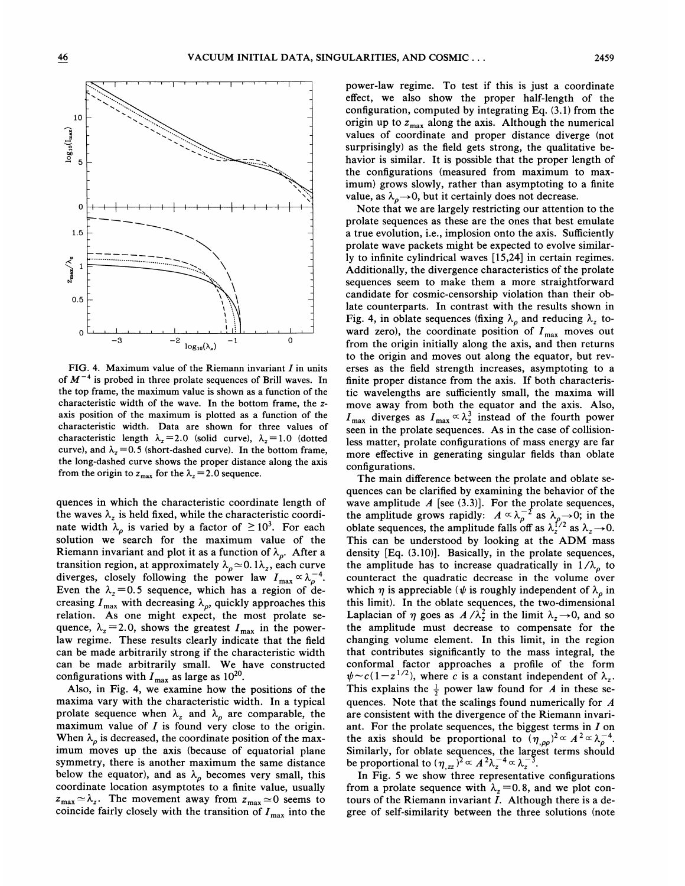

FIG. 4. Maximum value of the Riemann invariant  $I$  in units of  $M^{-4}$  is probed in three prolate sequences of Brill waves. In the top frame, the maximum value is shown as a function of the characteristic width of the wave. In the bottom frame, the zaxis position of the maximum is plotted as a function of the characteristic width. Data are shown for three values of characteristic length  $\lambda_z = 2.0$  (solid curve),  $\lambda_z = 1.0$  (dotted curve), and  $\lambda_z=0.5$  (short-dashed curve). In the bottom frame, the long-dashed curve shows the proper distance along the axis from the origin to  $z_{\text{max}}$  for the  $\lambda_z = 2.0$  sequence.

quences in which the characteristic coordinate length of the waves  $\lambda_z$  is held fixed, while the characteristic coordinate width  $\lambda_{\rho}$  is varied by a factor of  $\geq 10^3$ . For each solution we search for the maximum value of the Riemann invariant and plot it as a function of  $\lambda_{\rho}$ . After a transition region, at approximately  $\lambda_{\rho} \simeq 0.1 \lambda_{z}$ , each curve diverges, closely following the power law  $I_{\text{max}} \propto \lambda_p^{-4}$ . Even the  $\lambda_z=0.5$  sequence, which has a region of decreasing  $I_{\text{max}}$  with decreasing  $\lambda_{\rho}$ , quickly approaches this relation. As one might expect, the most prolate sequence,  $\lambda_z = 2.0$ , shows the greatest  $I_{\text{max}}$  in the powerlaw regime. These results clearly indicate that the field can be made arbitrarily strong if the characteristic width can be made arbitrarily small. We have constructed configurations with  $I_{\text{max}}$  as large as 10<sup>20</sup>.

Also, in Fig. 4, we examine how the positions of the maxima vary with the characteristic width. In a typical prolate sequence when  $\lambda_z$  and  $\lambda_\rho$  are comparable, the maximum value of  $I$  is found very close to the origin. When  $\lambda_{\rho}$  is decreased, the coordinate position of the maximum moves up the axis (because of equatorial plane symmetry, there is another maximum the same distance below the equator), and as  $\lambda_{\rho}$  becomes very small, this coordinate location asymptotes to a finite value, usually  $z_{\text{max}} \simeq \lambda_z$ . The movement away from  $z_{\text{max}} \simeq 0$  seems to coincide fairly closely with the transition of  $I_{\text{max}}$  into the power-law regime. To test if this is just a coordinate effect, we also show the proper half-length of the configuration, computed by integrating Eq. (3.1) from the origin up to  $z_{\text{max}}$  along the axis. Although the numerical values of coordinate and proper distance diverge (not surprisingly) as the field gets strong, the qualitative behavior is similar. It is possible that the proper length of the configurations (measured from maximum to maximum) grows slowly, rather than asymptoting to a finite value, as  $\lambda_{\rho} \rightarrow 0$ , but it certainly does not decrease.

Note that we are largely restricting our attention to the prolate sequences as these are the ones that best emulate a true evolution, i.e., implosion onto the axis. Sufficientl prolate wave packets might be expected to evolve similarly to infinite cylindrical waves [15,24] in certain regimes. Additionally, the divergence characteristics of the prolate sequences seem to make them a more straightforward candidate for cosmic-censorship violation than their oblate counterparts. In contrast with the results shown in Fig. 4, in oblate sequences (fixing  $\lambda_{\rho}$  and reducing  $\lambda_{z}$  to-<br>ward zero), the coordinate position of  $I_{\text{max}}$  moves out from the origin initially along the axis, and then returns to the origin and moves out along the equator, but reverses as the field strength increases, asymptoting to a finite proper distance from the axis. If both characteristic wavelengths are sufficiently small, the maxima will move away from both the equator and the axis. Also,  $I_{\text{max}}$  diverges as  $I_{\text{max}} \propto \lambda_z^3$  instead of the fourth power seen in the prolate sequences. As in the case of collisionless matter, prolate configurations of mass energy are far more effective in generating singular fields than oblate configurations.

The main difference between the prolate and oblate sequences can be clarified by examining the behavior of the wave amplitude  $A$  [see (3.3)]. For the prolate sequences the amplitude grows rapidly:  $A \propto \lambda_p^{-2}$  as  $\lambda_p \rightarrow 0$ ; in the oblate sequences, the amplitude falls off as  $\lambda_2^{f/2}$  as  $\lambda_2 \rightarrow 0$ . This can be understood by looking at the ADM mass density [Eq. (3.10)]. Basically, in the prolate sequences, the amplitude has to increase quadratically in  $1/\lambda_o$  to counteract the quadratic decrease in the volume over which  $\eta$  is appreciable ( $\psi$  is roughly independent of  $\lambda_0$  in this limit). In the oblate sequences, the two-dimension Laplacian of  $\eta$  goes as  $A / \lambda_z^2$  in the limit  $\lambda_z \rightarrow 0$ , and so the amplitude must decrease to compensate for the changing volume element. In this limit, in the region that contributes significantly to the mass integral, the conformal factor approaches a profile of the form  $\psi \sim c(1-z^{1/2})$ , where c is a constant independent of  $\lambda_z$ . This explains the  $\frac{1}{2}$  power law found for A in these sequences. Note that the scalings found numerically for  $A$ are consistent with the divergence of the Riemann invariant. For the prolate sequences, the biggest terms in  $I$  on the axis should be proportional to  $(\eta_{,\rho\rho})^2 \propto A^2 \propto \lambda_{\rho}^{-4}$ . Similarly, for oblate sequences, the largest terms should<br>be proportional to  $(\eta_{,zz})^2 \propto A^2 \lambda_z^{-4} \propto \lambda_z^{-3}$ .

In Fig. 5 we show three representative configurations from a prolate sequence with  $\lambda_z=0.8$ , and we plot contours of the Riemann invariant I. Although there is <sup>a</sup> degree of self-similarity between the three solutions (note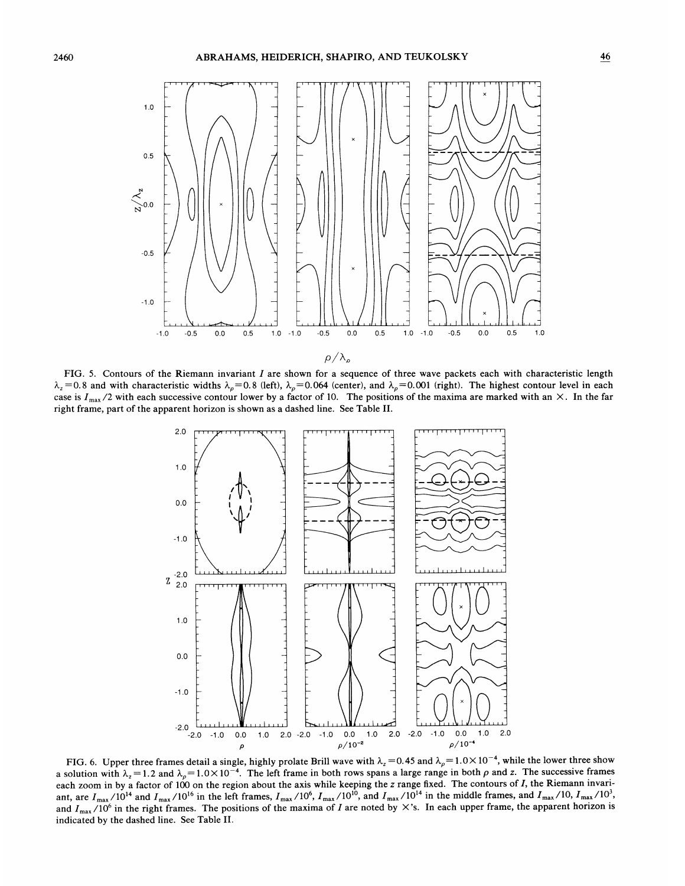



FIG. 5. Contours of the Riemann invariant I are shown for <sup>a</sup> sequence of three wave packets each with characteristic length  $\lambda_z=0.8$  and with characteristic widths  $\lambda_\rho=0.8$  (left),  $\lambda_\rho=0.064$  (center), and  $\lambda_\rho=0.001$  (right). The highest contour level in each case is  $I_{\text{max}}/2$  with each successive contour lower by a factor of 10. The positions of the maxima are marked with an  $\times$ . In the far right frame, part of the apparent horizon is shown as a dashed line. See Table II.



FIG. 6. Upper three frames detail a single, highly prolate Brill wave with  $\lambda_z = 0.45$  and  $\lambda_\rho = 1.0 \times 10^{-4}$ , while the lower three show a solution with  $\lambda_z = 1.2$  and  $\lambda_\rho = 1.0 \times 10^{-4}$ . The left frame in both rows spans a large range in both  $\rho$  and z. The successive frame each zoom in by a factor of 100 on the region about the axis while keeping the z range fixed. The contours of I, the Riemann invariant, are  $I_{\text{max}}/10^{14}$  and  $I_{\text{max}}/10^{16}$  in the left frames,  $I_{\text{max}}/10^{6}$ ,  $I_{\text{max}}/10^{10}$ , and  $I_{\text{max}}/10^{14}$  in the middle frames, and  $I_{\text{max}}/10$ ,  $I_{\text{max}}/10^{5}$ , and  $I_{\text{max}}/10^{6}$  in the right frames. indicated by the dashed line. See Table II.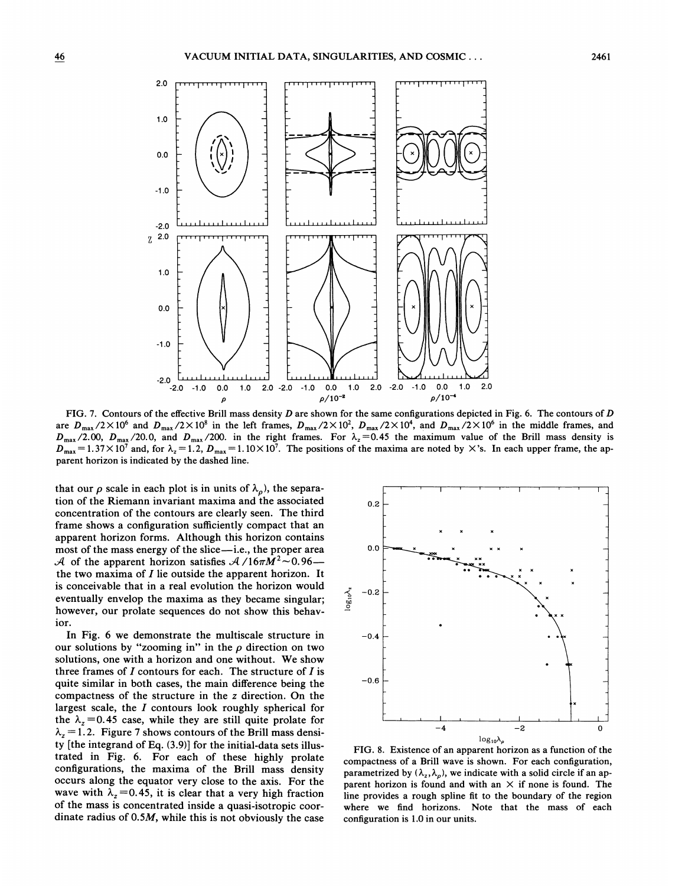

FIG. 7. Contours of the effective Brill mass density  $D$  are shown for the same configurations depicted in Fig. 6. The contours of  $D$ are  $D_{\text{max}}/2 \times 10^6$  and  $D_{\text{max}}/2 \times 10^8$  in the left frames,  $D_{\text{max}}/2 \times 10^2$ ,  $D_{\text{max}}/2 \times 10^4$ , and  $D_{\text{max}}/2 \times 10^6$  in the middle frames, and  $D_{\text{max}}/2.00$ ,  $D_{\text{max}}/20.0$ , and  $D_{\text{max}}/200$ . in the right frames. For  $\lambda_z=0.45$  the maximum value of the Brill mass density is  $D_{\text{max}} = 1.37 \times 10^7$  and, for  $\lambda_z = 1.2$ ,  $D_{\text{max}} = 1.10 \times 10^7$ . The positions of the maxima are noted by X's. In each upper frame, the apparent horizon is indicated by the dashed line.

that our  $\rho$  scale in each plot is in units of  $\lambda_{\rho}$ ), the separation of the Riemann invariant maxima and the associated concentration of the contours are clearly seen. The third frame shows a configuration sufficiently compact that an apparent horizon forms. Although this horizon contains apparent horizon forms. Although this horizon contains<br>most of the mass energy of the slice—i.e., the proper area A of the apparent horizon satisfies  $A/16\pi M^2 \sim 0.96$  the two maxima of  $I$  lie outside the apparent horizon. It is conceivable that in a real evolution the horizon would eventually envelop the maxima as they became singular; however, our prolate sequences do not show this behavior.

In Fig. 6 we demonstrate the multiscale structure in our solutions by "zooming in" in the  $\rho$  direction on two solutions, one with a horizon and one without. We show three frames of  $I$  contours for each. The structure of  $I$  is quite similar in both cases, the main difference being the compactness of the structure in the z direction. On the largest scale, the I contours look roughly spherical for the  $\lambda_z=0.45$  case, while they are still quite prolate for  $\lambda_z = 1.2$ . Figure 7 shows contours of the Brill mass density [the integrand of Eq. (3.9)] for the initial-data sets illustrated in Fig. 6. For each of these highly prolate configurations, the maxima of the Brill mass density occurs along the equator very close to the axis. For the wave with  $\lambda_z=0.45$ , it is clear that a very high fraction of the mass is concentrated inside a quasi-isotropic coordinate radius of 0.5M, while this is not obviously the case



FIG. 8. Existence of an apparent horizon as a function of the compactness of a Brill wave is shown. For each configuration, parametrized by  $(\lambda_z, \lambda_o)$ , we indicate with a solid circle if an apparent horizon is found and with an  $\times$  if none is found. The line provides a rough spline fit to the boundary of the region where we find horizons. Note that the mass of each configuration is 1.0 in our units.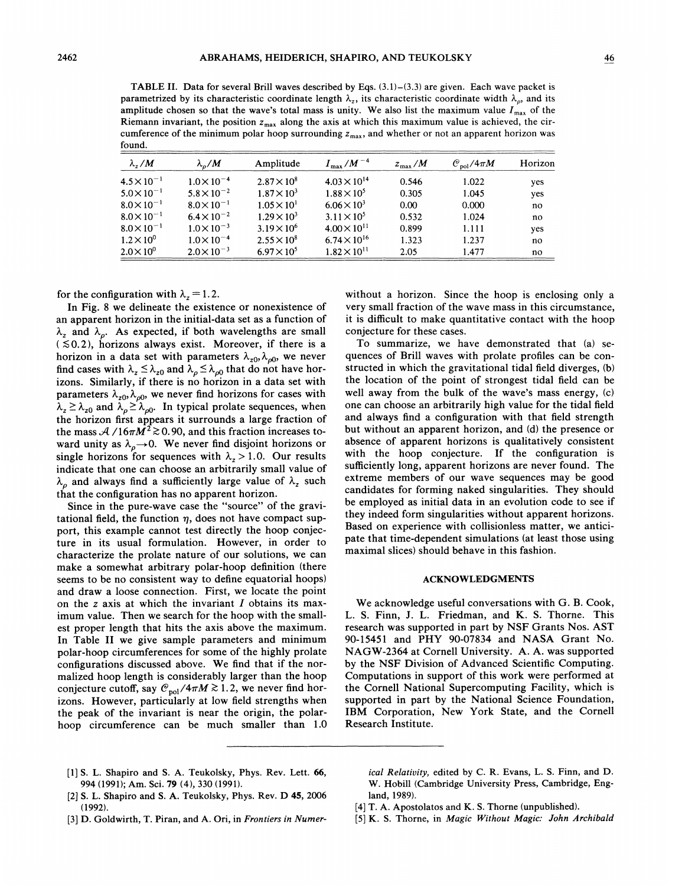TABLE II. Data for several Brill waves described by Eqs. (3.1)—(3.3) are given. Each wave packet is **TABLE II.** Data for several Brill waves described by Eqs. (3.1)–(3.3) are given. Each wave packet is parametrized by its characteristic coordinate length  $\lambda_z$ , its characteristic coordinate width  $\lambda_p$ , and its amplitude chosen so that the wave's total mass is unity. We also list the maximum value  $I_{\text{max}}$  of the Riemann invariant, the position  $z_{\text{max}}$  along the axis at which this maximum value is achieved, the circumference of the minimum polar hoop surrounding  $z_{\text{max}}$ , and whether or not an apparent horizon was found.

| $\lambda_z/M$        | $\lambda_o/M$        | Amplitude            | $I_{\rm max}/M^{-4}$  | $z_{\rm max}/M$ | $\mathcal{C}_{\rm pol}/4\pi M$ | Horizon |
|----------------------|----------------------|----------------------|-----------------------|-----------------|--------------------------------|---------|
| $4.5 \times 10^{-1}$ | $1.0 \times 10^{-4}$ | $2.87 \times 10^8$   | $4.03 \times 10^{14}$ | 0.546           | 1.022                          | yes     |
| $5.0 \times 10^{-1}$ | $5.8 \times 10^{-2}$ | $1.87 \times 10^{3}$ | $1.88 \times 10^{5}$  | 0.305           | 1.045                          | yes     |
| $8.0 \times 10^{-1}$ | $8.0 \times 10^{-1}$ | $1.05 \times 10^{1}$ | $6.06 \times 10^{3}$  | 0.00            | 0.000                          | no      |
| $8.0 \times 10^{-1}$ | $6.4 \times 10^{-2}$ | $1.29 \times 10^{3}$ | $3.11 \times 10^5$    | 0.532           | 1.024                          | no      |
| $8.0\times10^{-1}$   | $1.0 \times 10^{-3}$ | $3.19 \times 10^{6}$ | $4.00 \times 10^{11}$ | 0.899           | 1.111                          | yes     |
| $1.2 \times 10^{0}$  | $1.0 \times 10^{-4}$ | $2.55 \times 10^8$   | $6.74 \times 10^{16}$ | 1.323           | 1.237                          | no      |
| $2.0\times10^{0}$    | $2.0 \times 10^{-3}$ | $6.97 \times 10^{5}$ | $1.82 \times 10^{11}$ | 2.05            | 1.477                          | no      |

for the configuration with  $\lambda_z=1.2$ .

In Fig. 8 we delineate the existence or nonexistence of an apparent horizon in the initial-data set as a function of  $\lambda_z$  and  $\lambda_\rho$ . As expected, if both wavelengths are small  $(50.2)$ , horizons always exist. Moreover, if there is a horizon in a data set with parameters  $\lambda_{z0}$ ,  $\lambda_{\rho 0}$ , we never find cases with  $\lambda_z \leq \lambda_{z0}$  and  $\lambda_\rho \leq \lambda_{\rho 0}$  that do not have horizons. Similarly, if there is no horizon in a data set with parameters  $\lambda_{z0}$ ,  $\lambda_{\rho 0}$ , we never find horizons for cases with  $\lambda_z \ge \lambda_{z0}$  and  $\lambda_\rho \ge \lambda_{\rho 0}$ . In typical prolate sequences, when the horizon first appears it surrounds a large fraction of the mass  $A / 16 \pi M^2 \gtrsim 0.90$ , and this fraction increases toward unity as  $\lambda_{\rho} \rightarrow 0$ . We never find disjoint horizons or single horizons for sequences with  $\lambda_z > 1.0$ . Our results indicate that one can choose an arbitrarily small value of and always find a sufficiently large value of  $\lambda_z$  such that the configuration has no apparent horizon.

Since in the pure-wave case the "source" of the gravitational field, the function  $\eta$ , does not have compact support, this example cannot test directly the hoop conjecture in its usual formulation. However, in order to characterize the prolate nature of our solutions, we can make a somewhat arbitrary polar-hoop definition (there seems to be no consistent way to define equatorial hoops) and draw a loose connection. First, we locate the point on the  $z$  axis at which the invariant  $I$  obtains its maximum value. Then we search for the hoop with the smallest proper length that hits the axis above the maximum. In Table II we give sample parameters and minimum polar-hoop circumferences for some of the highly prolate configurations discussed above. We find that if the normalized hoop length is considerably larger than the hoop conjecture cutoff, say  $\mathcal{C}_{pol}/4\pi M \gtrsim 1.2$ , we never find horizons. However, particularly at low field strengths when the peak of the invariant is near the origin, the polarhoop circumference can be much smaller than 1.0 without a horizon. Since the hoop is enclosing only a very small fraction of the wave mass in this circumstance, it is difficult to make quantitative contact with the hoop conjecture for these cases.

To summarize, we have demonstrated that (a) sequences of Brill waves with prolate profiles can be constructed in which the gravitational tidal field diverges, (b) the location of the point of strongest tidal field can be well away from the bulk of the wave's mass energy, (c) one can choose an arbitrarily high value for the tidal field and always find a configuration with that field strength but without an apparent horizon, and (d) the presence or absence of apparent horizons is qualitatively consistent with the hoop conjecture. If the configuration is sufficiently long, apparent horizons are never found. The extreme members of our wave sequences may be good candidates for forming naked singularities. They should be employed as initial data in an evolution code to see if they indeed form singularities without apparent horizons. Based on experience with collisionless matter, we anticipate that time-dependent simulations (at least those using maximal slices) should behave in this fashion.

#### **ACKNOWLEDGMENTS**

We acknowledge useful conversations with G. B.Cook, L. S. Finn, J. L. Friedman, and K. S. Thorne. This research was supported in part by NSF Grants Nos. AST 90-15451 and PHY 90-07834 and NASA Grant No. NAGW-2364 at Cornell University. A. A. was supported by the NSF Division of Advanced Scientific Computing. Computations in support of this work were performed at the Cornell National Supercomputing Facility, which is supported in part by the National Science Foundation, IBM Corporation, New York State, and the Cornell Research Institute.

- [1] S. L. Shapiro and S. A. Teukolsky, Phys. Rev. Lett. 66, 994 (1991);Am. Sci. 79 (4), 330 (1991).
- [2] S. L. Shapiro and S. A. Teukolsky, Phys. Rev. D 45, 2006 (1992).
- [3] D. Goldwirth, T. Piran, and A. Ori, in Frontiers in Numer-
- ical Relativity, edited by C. R. Evans, L. S. Finn, and D. W. Hobill (Cambridge University Press, Cambridge, England, 1989).
- [4] T. A. Apostolatos and K. S. Thorne (unpublished).
- [5] K. S. Thorne, in Magic Without Magic: John Archibald